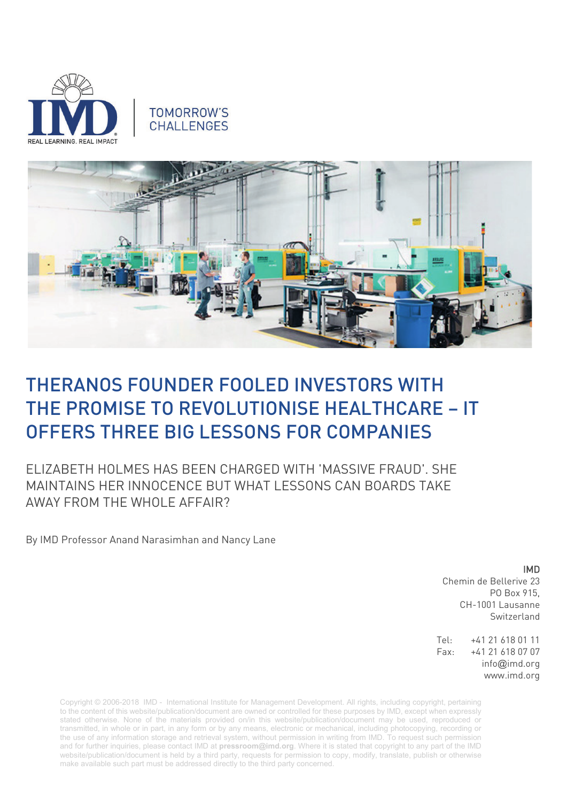

# **TOMORROW'S CHALLENGES**



# [THERANOS FOUNDER FOOLED INVESTORS WITH](https://theconversation.com/theranos-founder-fooled-investors-with-the-promise-to-revolutionise-healthcare-it-offers-three-big-lessons-for-companies-97964)  [THE PROMISE TO REVOLUTIONISE HEALTHCARE –](https://theconversation.com/theranos-founder-fooled-investors-with-the-promise-to-revolutionise-healthcare-it-offers-three-big-lessons-for-companies-97964) IT [OFFERS THREE BIG LESSONS FOR](https://theconversation.com/theranos-founder-fooled-investors-with-the-promise-to-revolutionise-healthcare-it-offers-three-big-lessons-for-companies-97964) COMPANIES

ELIZABETH HOLMES HAS BEEN CHARGED WITH 'MASSIVE FRAUD'. SHE MAINTAINS HER INNOCENCE BUT WHAT LESSONS CAN BOARDS TAKE AWAY FROM THE WHOLE AFFAIR?

By IMD Professor Anand Narasimhan and Nancy Lane

# IMD

Chemin de Bellerive 23 PO Box 915, CH-1001 Lausanne Switzerland

Tel: +41 21 618 01 11 Fax: +41 21 618 07 07 info@imd.org www.imd.org

Copyright © 2006-2018 IMD - International Institute for Management Development. All rights, including copyright, pertaining to the content of this website/publication/document are owned or controlled for these purposes by IMD, except when expressly stated otherwise. None of the materials provided on/in this website/publication/document may be used, reproduced or transmitted, in whole or in part, in any form or by any means, electronic or mechanical, including photocopying, recording or the use of any information storage and retrieval system, without permission in writing from IMD. To request such permission and for further inquiries, please contact IMD at **[pressroom@imd.org](mailto:pressroom@imd.org)**. Where it is stated that copyright to any part of the IMD website/publication/document is held by a third party, requests for permission to copy, modify, translate, publish or otherwise make available such part must be addressed directly to the third party concerned.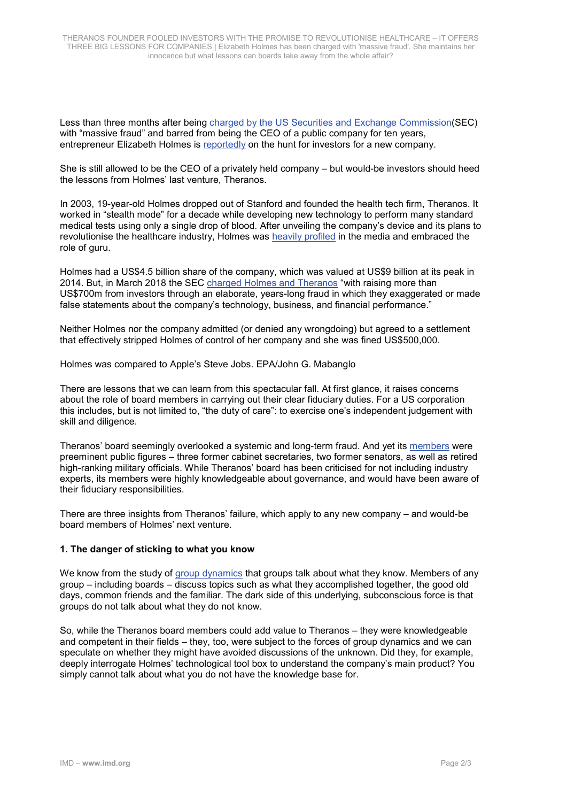Less than three months after being [charged by the US Securities and Exchange Commission\(](https://www.sec.gov/news/press-release/2018-41)SEC) with "massive fraud" and barred from being the CEO of a public company for ten years, entrepreneur Elizabeth Holmes is [reportedly](http://uk.businessinsider.com/theranos-founder-elizabeth-holmes-new-startup-report-2018-6?r=US&IR=T) on the hunt for investors for a new company.

She is still allowed to be the CEO of a privately held company – but would-be investors should heed the lessons from Holmes' last venture, Theranos.

In 2003, 19-year-old Holmes dropped out of Stanford and founded the health tech firm, Theranos. It worked in "stealth mode" for a decade while developing new technology to perform many standard medical tests using only a single drop of blood. After unveiling the company's device and its plans to revolutionise the healthcare industry, Holmes was [heavily profiled](https://www.inc.com/magazine/201510/kimberly-weisul/the-longest-game.html) in the media and embraced the role of guru.

Holmes had a US\$4.5 billion share of the company, which was valued at US\$9 billion at its peak in 2014. But, in March 2018 the SEC [charged Holmes and Theranos](https://www.sec.gov/news/press-release/2018-41) "with raising more than US\$700m from investors through an elaborate, years-long fraud in which they exaggerated or made false statements about the company's technology, business, and financial performance."

Neither Holmes nor the company admitted (or denied any wrongdoing) but agreed to a settlement that effectively stripped Holmes of control of her company and she was fined US\$500,000.

Holmes was compared to Apple's Steve Jobs. EPA/John G. Mabanglo

There are lessons that we can learn from this spectacular fall. At first glance, it raises concerns about the role of board members in carrying out their clear fiduciary duties. For a US corporation this includes, but is not limited to, "the duty of care": to exercise one's independent judgement with skill and diligence.

Theranos' board seemingly overlooked a systemic and long-term fraud. And yet its [members](http://fortune.com/2015/10/15/theranos-board-leadership/) were preeminent public figures – three former cabinet secretaries, two former senators, as well as retired high-ranking military officials. While Theranos' board has been criticised for not including industry experts, its members were highly knowledgeable about governance, and would have been aware of their fiduciary responsibilities.

There are three insights from Theranos' failure, which apply to any new company – and would-be board members of Holmes' next venture.

#### **1. The danger of sticking to what you know**

We know from the study of [group dynamics](https://www.spring.org.uk/2009/08/why-groups-fail-to-share-information-effectively.php) that groups talk about what they know. Members of any group – including boards – discuss topics such as what they accomplished together, the good old days, common friends and the familiar. The dark side of this underlying, subconscious force is that groups do not talk about what they do not know.

So, while the Theranos board members could add value to Theranos – they were knowledgeable and competent in their fields – they, too, were subject to the forces of group dynamics and we can speculate on whether they might have avoided discussions of the unknown. Did they, for example, deeply interrogate Holmes' technological tool box to understand the company's main product? You simply cannot talk about what you do not have the knowledge base for.